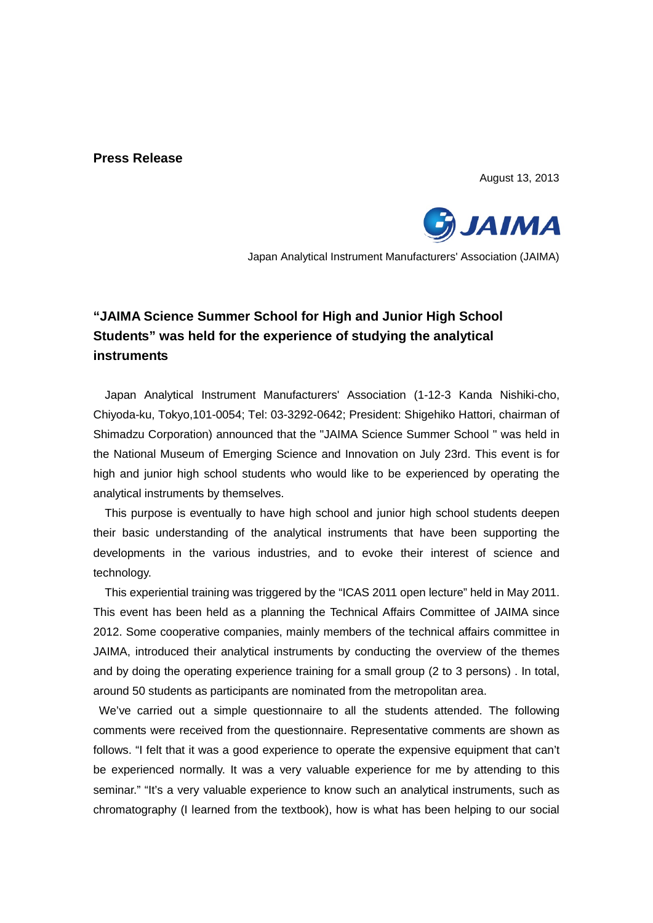### **Press Release**

August 13, 2013



Japan Analytical Instrument Manufacturers' Association (JAIMA)

# **"JAIMA Science Summer School for High and Junior High School Students" was held for the experience of studying the analytical instruments**

Japan Analytical Instrument Manufacturers' Association (1-12-3 Kanda Nishiki-cho, Chiyoda-ku, Tokyo,101-0054; Tel: 03-3292-0642; President: Shigehiko Hattori, chairman of Shimadzu Corporation) announced that the "JAIMA Science Summer School " was held in the National Museum of Emerging Science and Innovation on July 23rd. This event is for high and junior high school students who would like to be experienced by operating the analytical instruments by themselves.

This purpose is eventually to have high school and junior high school students deepen their basic understanding of the analytical instruments that have been supporting the developments in the various industries, and to evoke their interest of science and technology.

This experiential training was triggered by the "ICAS 2011 open lecture" held in May 2011. This event has been held as a planning the Technical Affairs Committee of JAIMA since 2012. Some cooperative companies, mainly members of the technical affairs committee in JAIMA, introduced their analytical instruments by conducting the overview of the themes and by doing the operating experience training for a small group (2 to 3 persons) . In total, around 50 students as participants are nominated from the metropolitan area.

We've carried out a simple questionnaire to all the students attended. The following comments were received from the questionnaire. Representative comments are shown as follows. "I felt that it was a good experience to operate the expensive equipment that can't be experienced normally. It was a very valuable experience for me by attending to this seminar." "It's a very valuable experience to know such an analytical instruments, such as chromatography (I learned from the textbook), how is what has been helping to our social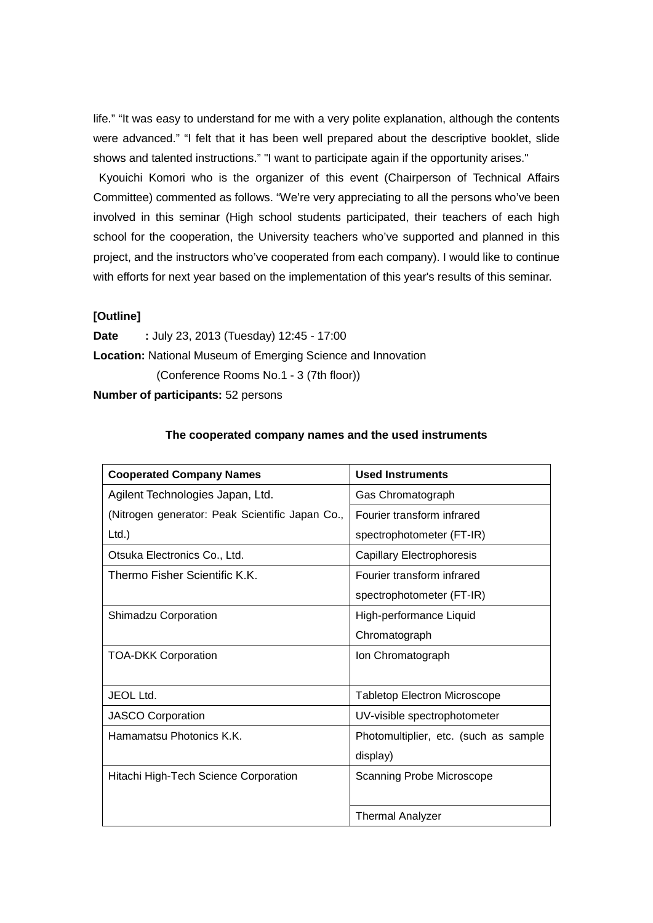life." "It was easy to understand for me with a very polite explanation, although the contents were advanced." "I felt that it has been well prepared about the descriptive booklet, slide shows and talented instructions." "I want to participate again if the opportunity arises."

Kyouichi Komori who is the organizer of this event (Chairperson of Technical Affairs Committee) commented as follows. "We're very appreciating to all the persons who've been involved in this seminar (High school students participated, their teachers of each high school for the cooperation, the University teachers who've supported and planned in this project, and the instructors who've cooperated from each company). I would like to continue with efforts for next year based on the implementation of this year's results of this seminar.

#### **[Outline]**

**Date :** July 23, 2013 (Tuesday) 12:45 - 17:00 **Location:** National Museum of Emerging Science and Innovation (Conference Rooms No.1 - 3 (7th floor))

**Number of participants:** 52 persons

#### **The cooperated company names and the used instruments**

| <b>Cooperated Company Names</b>                 | <b>Used Instruments</b>               |
|-------------------------------------------------|---------------------------------------|
| Agilent Technologies Japan, Ltd.                | Gas Chromatograph                     |
| (Nitrogen generator: Peak Scientific Japan Co., | Fourier transform infrared            |
| $Ltd.$ )                                        | spectrophotometer (FT-IR)             |
| Otsuka Electronics Co., Ltd.                    | <b>Capillary Electrophoresis</b>      |
| Thermo Fisher Scientific K.K.                   | Fourier transform infrared            |
|                                                 | spectrophotometer (FT-IR)             |
| <b>Shimadzu Corporation</b>                     | High-performance Liquid               |
|                                                 | Chromatograph                         |
| <b>TOA-DKK Corporation</b>                      | Ion Chromatograph                     |
|                                                 |                                       |
| <b>JEOL Ltd.</b>                                | <b>Tabletop Electron Microscope</b>   |
| <b>JASCO Corporation</b>                        | UV-visible spectrophotometer          |
| Hamamatsu Photonics K.K.                        | Photomultiplier, etc. (such as sample |
|                                                 | display)                              |
| Hitachi High-Tech Science Corporation           | Scanning Probe Microscope             |
|                                                 |                                       |
|                                                 | <b>Thermal Analyzer</b>               |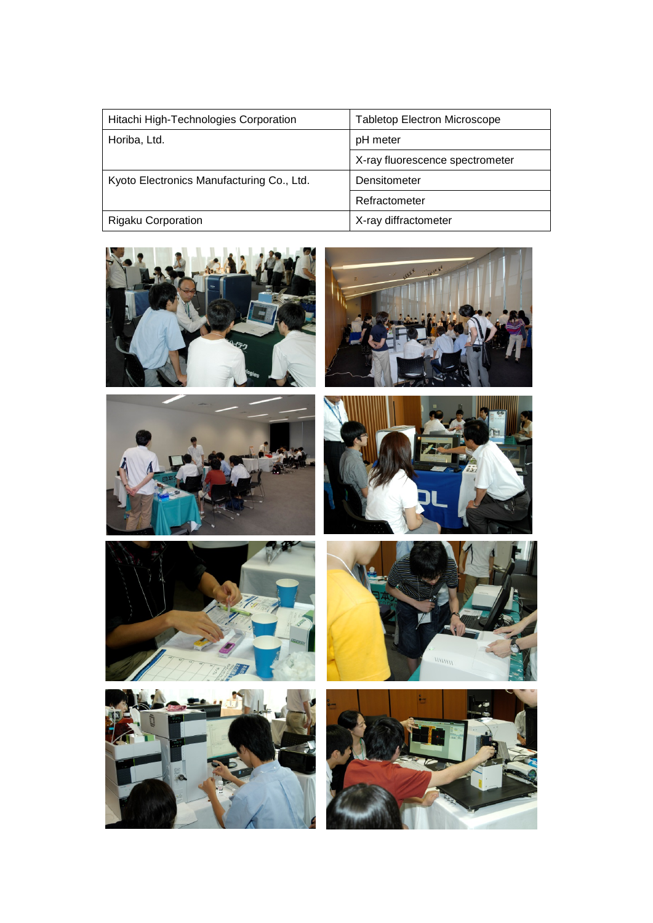| Hitachi High-Technologies Corporation     | <b>Tabletop Electron Microscope</b> |
|-------------------------------------------|-------------------------------------|
| Horiba, Ltd.                              | pH meter                            |
|                                           | X-ray fluorescence spectrometer     |
| Kyoto Electronics Manufacturing Co., Ltd. | Densitometer                        |
|                                           | Refractometer                       |
| <b>Rigaku Corporation</b>                 | X-ray diffractometer                |